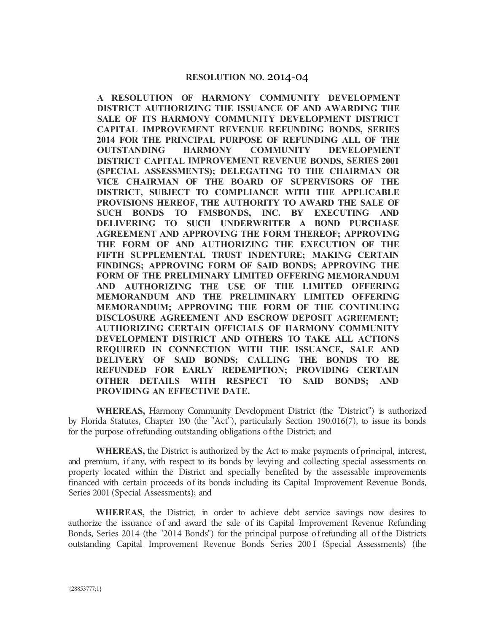## **RESOLUTION NO.** 2014-04

**A RESOLUTION OF HARMONY COMMUNITY DEVELOPMENT DISTRICT AUTHORIZING THE ISSUANCE OF AND A WARDING THE SALE OF ITS HARMONY COMMUNITY DEVELOPMENT DISTRICT CAPITAL IMPROVEMENT REVENUE REFUNDING BONDS, SERIES 2014 FOR THE PRINCIPAL PURPOSE OF REFUNDING ALL OF THE OUTSTANDING HARMONY COMMUNITY DEVELOPMENT DISTRICT CAPITAL IMPROVEMENT REVENUE BONDS, SERIES 2001 (SPECIAL ASSESSMENTS); DELEGATING TO THE CHAIRMAN OR VICE CHAIRMAN OF THE BOARD OF SUPERVISORS OF THE DISTRICT, SUBJECT TO COMPLIANCE WITH THE APPLICABLE**  PROVISIONS HEREOF, THE AUTHORITY TO AWARD THE SALE OF **SUCH BONDS TO FMSBONDS, INC. BY EXECUTING AND DELIVERING TO SUCH UNDERWRITER A BOND PURCHASE AGREEMENT AND APPROVING THE FORM THEREOF; APPROVING THE FORM OF AND AUTHORIZING THE EXECUTION OF THE FIFTH SUPPLEMENTAL TRUST INDENTURE; MAKING CERTAIN FINDINGS; APPROVING FORM OF SAID BONDS; APPROVING THE FORM OF THE PRELIMINARY LIMITED OFFERING MEMORANDUM AND AUTHORIZING THE USE OF THE LIMITED OFFERING MEMORANDUM AND THE PRELIMINARY LIMITED OFFERING MEMORANDUM; APPROVING THE FORM OF THE CONTINUING DISCLOSURE AGREEMENT AND ESCROW DEPOSIT AGREEMENT; AUTHORIZING CERTAIN OFFICIALS OF HARMONY COMMUNITY DEVELOPMENT DISTRICT AND OTHERS TO TAKE ALL ACTIONS REQUIRED IN CONNECTION WITH THE ISSUANCE, SALE AND DELIVERY OF SAID BONDS; CALLING THE BONDS TO BE REFUNDED FOR EARLY REDEMPTION; PROVIDING CERTAIN OTHER DETAILS WITH RESPECT TO SAID BONDS; AND PROVIDING AN EFFECTIVE DATE.** 

**WHEREAS,** Harmony Community Development District (the "District") is authorized by Florida Statutes, Chapter 190 (the "Act"), particularly Section 190.016(7), to issue its bonds for the purpose of refunding outstanding obligations of the District; and

**WHEREAS,** the District is authorized by the Act to make payments of principal, interest, and premium, if any, with respect to its bonds by levying and collecting special assessments on property located within the District and specially benefited by the assessable improvements financed with certain proceeds of its bonds including its Capital Improvement Revenue Bonds, Series 2001 (Special Assessments); and

**WHEREAS,** the District, in order to achieve debt service savings now desires to authorize the issuance of and award the sale of its Capital Improvement Revenue Refunding Bonds, Series 2014 (the "2014 Bonds") for the principal purpose of refunding all of the Districts outstanding Capital Improvement Revenue Bonds Series 200 I (Special Assessments) (the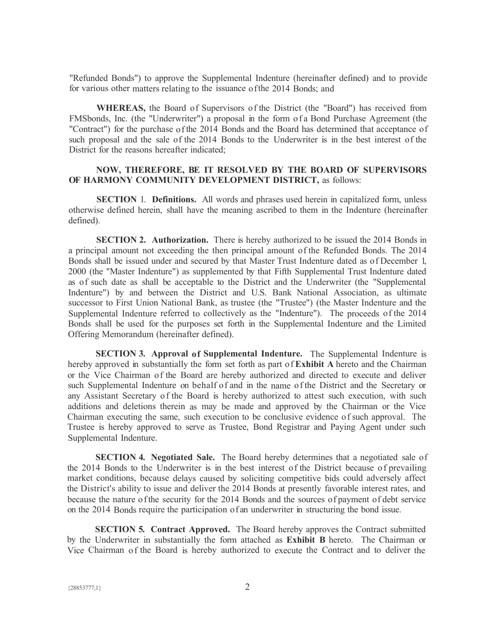"Refunded Bonds") to approve the Supplemental Indenture (hereinafter defined) and to provide for various other matters relating to the issuance of the 2014 Bonds; and

**WHEREAS,** the Board of Supervisors of the District (the "Board") has received from FMSbonds, Inc. (the "Underwriter") a proposal in the form of a Bond Purchase Agreement (the "Contract") for the purchase of the 2014 Bonds and the Board has determined that acceptance of such proposal and the sale of the 2014 Bonds to the Underwriter is in the best interest of the District for the reasons hereafter indicated;

## **NOW, THEREFORE, BE IT RESOLVED BY THE BOARD OF SUPERVISORS OF HARMONY COMMUNITY DEVELOPMENT DISTRICT,** as follows:

**SECTION** 1. **Definitions.** All words and phrases used herein in capitalized form, unless otherwise defined herein, shall have the meaning ascribed to them in the Indenture (hereinafter defined).

**SECTION 2. Authorization.** There is hereby authorized to be issued the 2014 Bonds in a principal amount not exceeding the then principal amount of the Refunded Bonds. The 2014 Bonds shall be issued under and secured by that Master Trust Indenture dated as of December 1, 2000 (the "Master Indenture") as supplemented by that Fifth Supplemental Trust Indenture dated as of such date as shall be acceptable to the District and the Underwriter (the "Supplemental Indenture") by and between the District and U.S. Bank National Association, as ultimate successor to First Union National Bank, as trustee (the "Trustee") (the Master Indenture and the Supplemental Indenture referred to collectively as the "Indenture"). The proceeds of the 2014 Bonds shall be used for the purposes set forth in the Supplemental Indenture and the Limited Offering Memorandum (hereinafter defined).

**SECTION 3. Approval of Supplemental Indenture.** The Supplemental Indenture is hereby approved in substantially the form set forth as part of **Exhibit A** hereto and the Chairman or the Vice Chairman of the Board are hereby authorized and directed to execute and deliver such Supplemental Indenture on behalf of and in the name of the District and the Secretary or any Assistant Secretary of the Board is hereby authorized to attest such execution, with such additions and deletions therein as may be made and approved by the Chairman or the Vice Chairman executing the same, such execution to be conclusive evidence of such approval. The Trustee is hereby approved to serve as Trustee, Bond Registrar and Paying Agent under such Supplemental Indenture.

**SECTION 4. Negotiated Sale.** The Board hereby determines that a negotiated sale of the 2014 Bonds to the Underwriter is in the best interest of the District because of prevailing market conditions, because delays caused by soliciting competitive bids could adversely affect the District's ability to issue and deliver the 2014 Bonds at presently favorable interest rates, and because the nature of the security for the 2014 Bonds and the sources of payment of debt service on the 2014 Bonds require the participation of an underwriter in structuring the bond issue.

**SECTION 5. Contract Approved.** The Board hereby approves the Contract submitted by the Underwriter in substantially the form attached as **Exhibit B** hereto. The Chairman or Vice Chairman of the Board is hereby authorized to execute the Contract and to deliver the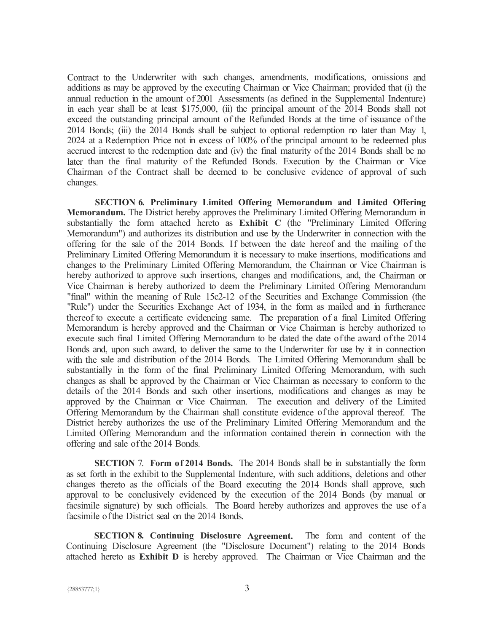Contract to the Underwriter with such changes, amendments, modifications, omissions and additions as may be approved by the executing Chairman or Vice Chairman; provided that (i) the annual reduction in the amount of 2001 Assessments (as defined in the Supplemental Indenture) in each year shall be at least \$175,000, (ii) the principal amount of the 2014 Bonds shall not exceed the outstanding principal amount of the Refunded Bonds at the time of issuance of the 2014 Bonds; (iii) the 2014 Bonds shall be subject to optional redemption no later than May 1, 2024 at a Redemption Price not in excess of 100% of the principal amount to be redeemed plus accrued interest to the redemption date and (iv) the final maturity of the 2014 Bonds shall be no later than the final maturity of the Refunded Bonds. Execution by the Chairman or Vice Chairman of the Contract shall be deemed to be conclusive evidence of approval of such changes.

**SECTION 6. Preliminary Limited Offering Memorandum and Limited Offering Memorandum.** The District hereby approves the Preliminary Limited Offering Memorandum in substantially the form attached hereto as **Exhibit C** (the "Preliminary Limited Offering Memorandum") and authorizes its distribution and use by the Underwriter in connection with the offering for the sale of the 2014 Bonds. If between the date hereof and the mailing of the Preliminary Limited Offering Memorandum it is necessary to make insertions, modifications and changes to the Preliminary Limited Offering Memorandum, the Chairman or Vice Chairman is hereby authorized to approve such insertions, changes and modifications, and, the Chairman or Vice Chairman is hereby authorized to deem the Preliminary Limited Offering Memorandum "final" within the meaning of Rule 15c2-12 of the Securities and Exchange Commission (the "Rule") under the Securities Exchange Act of 1934, in the form as mailed and in furtherance thereof to execute a certificate evidencing same. The preparation of a final Limited Offering Memorandum is hereby approved and the Chairman or Vice Chairman is hereby authorized to execute such final Limited Offering Memorandum to be dated the date of the award of the 2014 Bonds and, upon such award, to deliver the same to the Underwriter for use by it in connection with the sale and distribution of the 2014 Bonds. The Limited Offering Memorandum shall be substantially in the form of the final Preliminary Limited Offering Memorandum, with such changes as shall be approved by the Chairman or Vice Chairman as necessary to conform to the details of the 2014 Bonds and such other insertions, modifications and changes as may be approved by the Chairman or Vice Chairman. The execution and delivery of the Limited Offering Memorandum by the Chairman shall constitute evidence of the approval thereof. The District hereby authorizes the use of the Preliminary Limited Offering Memorandum and the Limited Offering Memorandum and the information contained therein in connection with the offering and sale of the 2014 Bonds.

**SECTION** 7. **Form of 2014 Bonds.** The 2014 Bonds shall be in substantially the form as set forth in the exhibit to the Supplemental Indenture, with such additions, deletions and other changes thereto as the officials of the Board executing the 2014 Bonds shall approve, such approval to be conclusively evidenced by the execution of the 2014 Bonds (by manual or facsimile signature) by such officials. The Board hereby authorizes and approves the use of a facsimile of the District seal on the 2014 Bonds.

**SECTION 8. Continuing Disclosure Agreement.** The form and content of the Continuing Disclosure Agreement (the "Disclosure Document") relating to the 2014 Bonds attached hereto as **Exhibit D** is hereby approved. The Chairman or Vice Chairman and the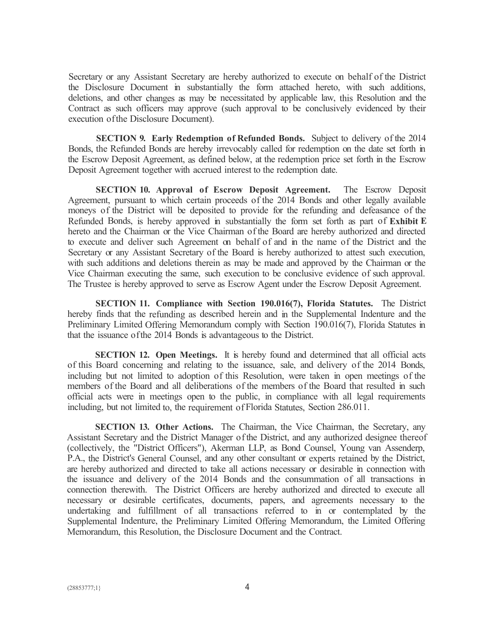Secretary or any Assistant Secretary are hereby authorized to execute on behalf of the District the Disclosure Document in substantially the form attached hereto, with such additions, deletions, and other changes as may be necessitated by applicable law, this Resolution and the Contract as such officers may approve (such approval to be conclusively evidenced by their execution of the Disclosure Document).

**SECTION 9. Early Redemption of Refunded Bonds.** Subject to delivery of the 2014 Bonds, the Refunded Bonds are hereby irrevocably called for redemption on the date set forth in the Escrow Deposit Agreement, as defined below, at the redemption price set forth in the Escrow Deposit Agreement together with accrued interest to the redemption date.

**SECTION 10. Approval of Escrow Deposit Agreement.** The Escrow Deposit Agreement, pursuant to which certain proceeds of the 2014 Bonds and other legally available moneys of the District will be deposited to provide for the refunding and defeasance of the Refunded Bonds, is hereby approved in substantially the form set forth as part of **Exhibit E**  hereto and the Chairman or the Vice Chairman of the Board are hereby authorized and directed to execute and deliver such Agreement on behalf of and in the name of the District and the Secretary or any Assistant Secretary of the Board is hereby authorized to attest such execution, with such additions and deletions therein as may be made and approved by the Chairman or the Vice Chairman executing the same, such execution to be conclusive evidence of such approval. The Trustee is hereby approved to serve as Escrow Agent under the Escrow Deposit Agreement.

**SECTION 11. Compliance with Section 190.016(7), Florida Statutes.** The District hereby finds that the refunding as described herein and in the Supplemental Indenture and the Preliminary Limited Offering Memorandum comply with Section 190.016(7), Florida Statutes in that the issuance of the 2014 Bonds is advantageous to the District.

**SECTION 12. Open Meetings.** It is hereby found and determined that all official acts of this Board concerning and relating to the issuance, sale, and delivery of the 2014 Bonds, including but not limited to adoption of this Resolution, were taken in open meetings of the members of the Board and all deliberations of the members of the Board that resulted in such official acts were in meetings open to the public, in compliance with all legal requirements including, but not limited to, the requirement of Florida Statutes, Section 286.011.

**SECTION 13. Other Actions.** The Chairman, the Vice Chairman, the Secretary, any Assistant Secretary and the District Manager of the District, and any authorized designee thereof (collectively, the "District Officers"), Akerman LLP, as Bond Counsel, Young van Assenderp, P.A., the District's General Counsel, and any other consultant or experts retained by the District, are hereby authorized and directed to take all actions necessary or desirable in connection with the issuance and delivery of the 2014 Bonds and the consummation of all transactions in connection therewith. The District Officers are hereby authorized and directed to execute all necessary or desirable certificates, documents, papers, and agreements necessary to the undertaking and fulfillment of all transactions referred to in or contemplated by the Supplemental Indenture, the Preliminary Limited Offering Memorandum, the Limited Offering Memorandum, this Resolution, the Disclosure Document and the Contract.